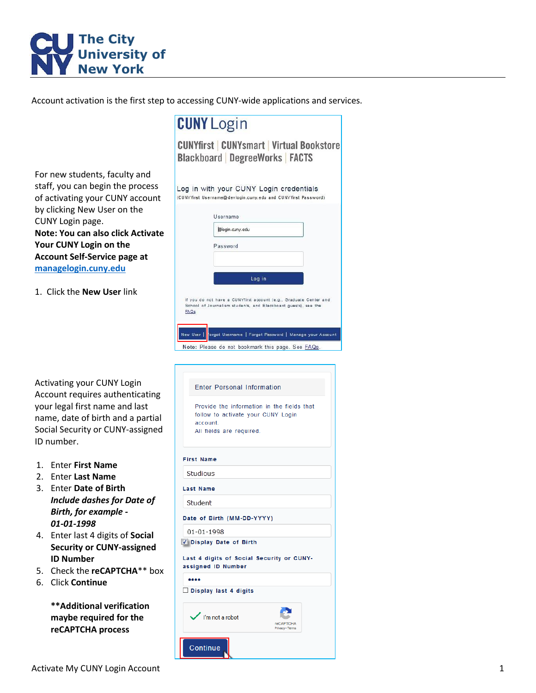

Account activation is the first step to accessing CUNY-wide applications and services.

**CUNY Login CUNYfirst CUNYsmart Virtual Bookstore Blackboard DegreeWorks FACTS** For new students, faculty and staff, you can begin the process Log in with your CUNY Login credentials of activating your CUNY account (CUNY first Username@devlogin.cuny.edu and CUNY first Password) by clicking New User on the Username CUNY Login page. @login.cuny.edu **Note: You can also click Activate Your CUNY Login on the**  Password **Account Self-Service page at [managelogin.cuny.edu](https://managelogin.cuny.edu/)** Log in 1. Click the **New User** link If you do not have a CUNYfirst account (e.g., Graduate Center and School of Journalism students, and Blackboard guests), see the  $EAOs$ New User prgot Username | Forgot Password | Manage your Account Note: Please do not bookmark this page. See **FAQs** Activating your CUNY Login **Enter Personal Information** Account requires authenticating your legal first name and last Provide the information in the fields that follow to activate your CUNY Login name, date of birth and a partial account Social Security or CUNY-assigned All fields are required. ID number. **First Name** 1. Enter **First Name** Studious 2. Enter **Last Name** 3. Enter **Date of Birth Last Name** *Include dashes for Date of*  Student *Birth, for example -* Date of Birth (MM-DD-YYYY) *01-01-1998* 01-01-1998 4. Enter last 4 digits of **Social**  Display Date of Birth **Security or CUNY-assigned**  Last 4 digits of Social Security or CUNY-**ID Number** assigned ID Number 5. Check the **reCAPTCHA**\*\* box  $......$ 6. Click **Continue**  $\Box$  Display last 4 digits **\*\*Additional verification maybe required for the**  I'm not a robot **reCAPTCHA process**

Continue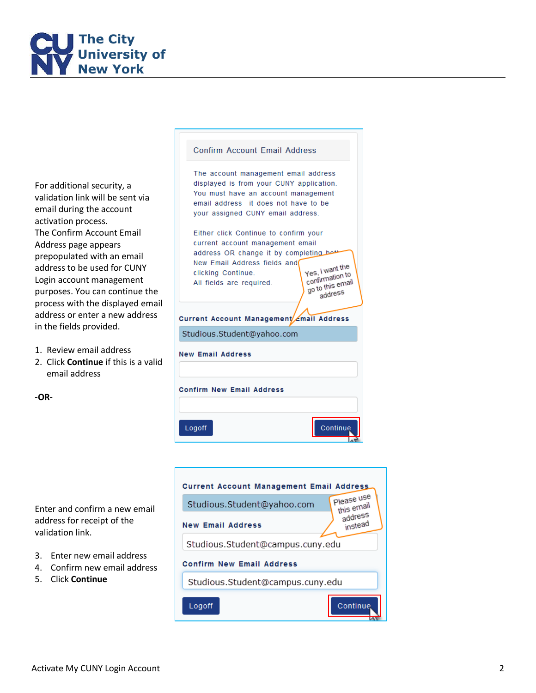

For additional security, a validation link will be sent via email during the account activation process . The Confirm Account Email Address page appear s prepopulated with an email addres s to be used for CUNY Login account management purposes. You can continue the process with the displayed email address or enter a new address in the fields provided .

1. Review email address

**-OR -**

2. Click **Continue** if this is a valid email address

| Either click Continue to confirm your<br>current account management email<br>address OR change it by completing<br>New Email Address fields and<br>clicking Continue.<br>All fields are required. | Yes, I want the<br>confirmation to<br>go to this email<br>address |  |  |  |  |
|---------------------------------------------------------------------------------------------------------------------------------------------------------------------------------------------------|-------------------------------------------------------------------|--|--|--|--|
| Current Account Management Email Address                                                                                                                                                          |                                                                   |  |  |  |  |
| Studious.Student@yahoo.com                                                                                                                                                                        |                                                                   |  |  |  |  |
| <b>New Email Address</b>                                                                                                                                                                          |                                                                   |  |  |  |  |
| <b>Confirm New Email Address</b>                                                                                                                                                                  |                                                                   |  |  |  |  |
| Logoff                                                                                                                                                                                            | Continue                                                          |  |  |  |  |

R.

**Confirm Account Email Address** 

The account management email address displayed is from your CUNY application. You must have an account management email address it does not have to be your assigned CUNY email address.



Enter and confirm a new email address for receipt of the validation link .

- 3. Enter new email address
- 4. Confirm new email address
- 5. Click **Continue**



Activate My CUNY Login Account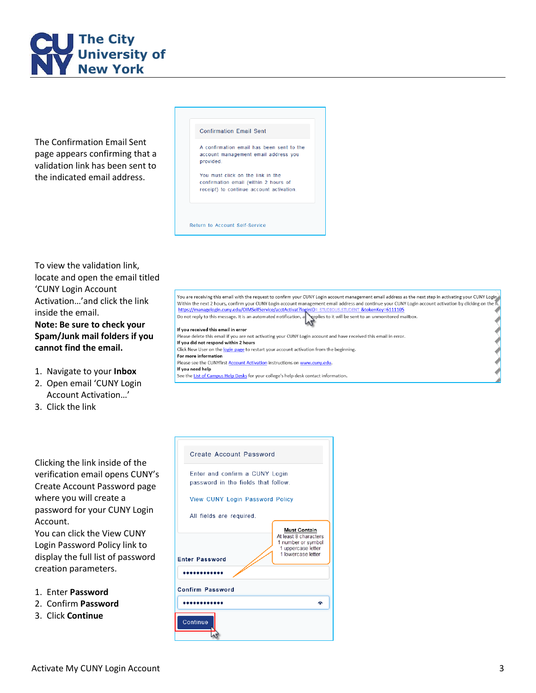

The Confirmation Email Sent page appears confirming that a validation link has been sent to the indicated email address.

## **Confirmation Email Sent**

A confirmation email has been sent to the account management email address you provided.

You must click on the link in the confirmation email (within 2 hours of receipt) to continue account activation.

Return to Account Self-Service

To view the validation link , locate and open the email titled 'CUNY Login Account Activation…'and click the link inside the email .

**Note: Be sure to check your Spam/Junk mail folders if you cannot find the email .**

- 1. Navigate to your **Inbox**
- 2. Open email 'CUNY Login Account Activation…'
- 3. Click the link

Clicking the link inside of the verification email opens CUNY's Create Account Password page where you will create a password for your CUNY Login Account .

You can click the View CUNY Login Password Policy link to display the full list of password creation parameters.

- 1. Enter **Password**
- 2. Confirm **Password**
- 3. Click **Continue**

|  | <b>Create Account Password</b>                                        |                                                                                                                |  |  |
|--|-----------------------------------------------------------------------|----------------------------------------------------------------------------------------------------------------|--|--|
|  | Enter and confirm a CUNY Login<br>password in the fields that follow. |                                                                                                                |  |  |
|  | <b>View CUNY Login Password Policy</b>                                |                                                                                                                |  |  |
|  | All fields are required.                                              |                                                                                                                |  |  |
|  | <b>Enter Password</b>                                                 | <b>Must Contain</b><br>At least 8 characters<br>1 number or symbol<br>1 uppercase letter<br>1 lowercase letter |  |  |
|  |                                                                       |                                                                                                                |  |  |
|  | <b>Confirm Password</b>                                               |                                                                                                                |  |  |
|  |                                                                       |                                                                                                                |  |  |

Continue

You are receiving this email with the request to confirm your CUNY Login account management email address as the next step in activating your CUNY Login Within the next 2 hours, confirm your CUNY Login account management e https://managelogin.cuny.edu/OIMSelfService/acctActivat?lo STUDENT &tokenKey=6111105 **ID= STUDIOL** Do not reply to this message. It is an automated notification, a replies to it will be sent to an unmonitored mailbox. If you received this email in error Please delete this email if you are not activating your CUNY Login account and have received this email in error.

If you did not respond within 2 hours Click New User on the login page to restart your account activation from the beginning. For more information Please see the CUNYfirst Account Activation instructions on www.cuny.edu. If you need help See the List of Campus Help Desks for your college's help desk contact information.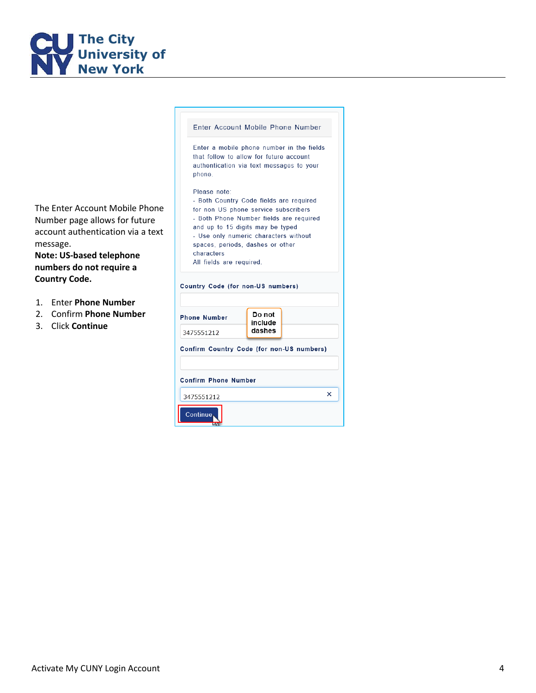

message.

Enter Account Mobile Phone Number Enter a mobile phone number in the fields that follow to allow for future account authentication via text messages to your phone. Please note: - Both Country Code fields are required The Enter Account Mobile Phone for non US phone service subscribers - Both Phone Number fields are required Number page allows for future and up to 15 digits may be typed account authentication via a text - Use only numeric characters without spaces, periods, dashes or other characters **Note: US-based telephone**  All fields are required. **numbers do not require a Country Code.** Country Code (for non-US numbers) 1. Enter **Phone Number** 2. Confirm **Phone Number** Do not **Phone Number** include 3. Click **Continue**dashes 3475551212

Continue<sub></sub>

Confirm Country Code (for non-US numbers) **Confirm Phone Number**  $\times$ 3475551212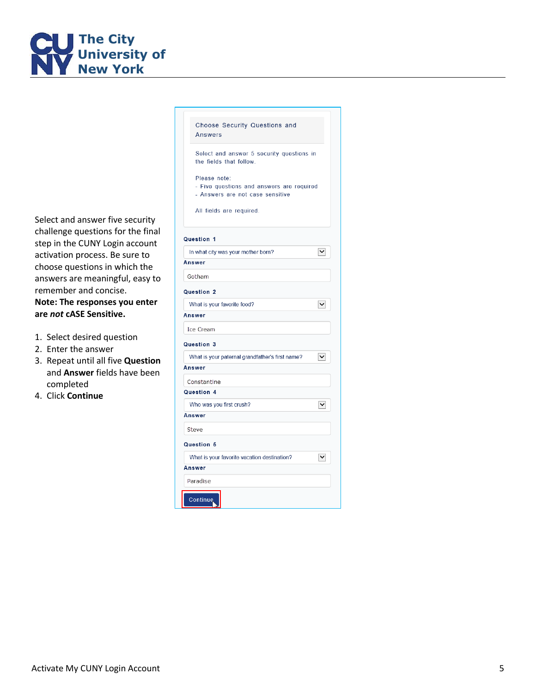

Select and answer five security challenge questions for the final step in the CUNY Login account activation process. Be sure to choose questions in which the answers are meaningful, easy to remember and concise. **Note: The responses you enter are** *not* **cASE Sensitive.**

- 1. Select desired question
- 2. Enter the answer
- 3. Repeat until all five **Question** and **Answer** fields have been completed
- 4. Click **Continue**

| Choose Security Questions and<br><b>Answers</b>                                               |  |  |  |  |
|-----------------------------------------------------------------------------------------------|--|--|--|--|
| Select and answer 5 security questions in<br>the fields that follow.                          |  |  |  |  |
| Please note:<br>- Five questions and answers are required<br>- Answers are not case sensitive |  |  |  |  |
| All fields are required.                                                                      |  |  |  |  |
| Question 1                                                                                    |  |  |  |  |
| ∨∣<br>In what city was your mother born?                                                      |  |  |  |  |
| Answer                                                                                        |  |  |  |  |
| Gotham                                                                                        |  |  |  |  |
| Question 2                                                                                    |  |  |  |  |
| What is your favorite food?<br>◡                                                              |  |  |  |  |
| Answer                                                                                        |  |  |  |  |
| Ice Cream                                                                                     |  |  |  |  |
| Question 3                                                                                    |  |  |  |  |
| What is your paternal grandfather's first name?<br>◡                                          |  |  |  |  |
| Answer                                                                                        |  |  |  |  |
| Constantine                                                                                   |  |  |  |  |
| Question 4                                                                                    |  |  |  |  |
| Who was you first crush?<br>∨                                                                 |  |  |  |  |
| Answer                                                                                        |  |  |  |  |
| Steve                                                                                         |  |  |  |  |
| Question 5                                                                                    |  |  |  |  |
| What is your favorite vacation destination?<br>∨∣                                             |  |  |  |  |
| Answer                                                                                        |  |  |  |  |
| Paradise                                                                                      |  |  |  |  |
| Continue                                                                                      |  |  |  |  |